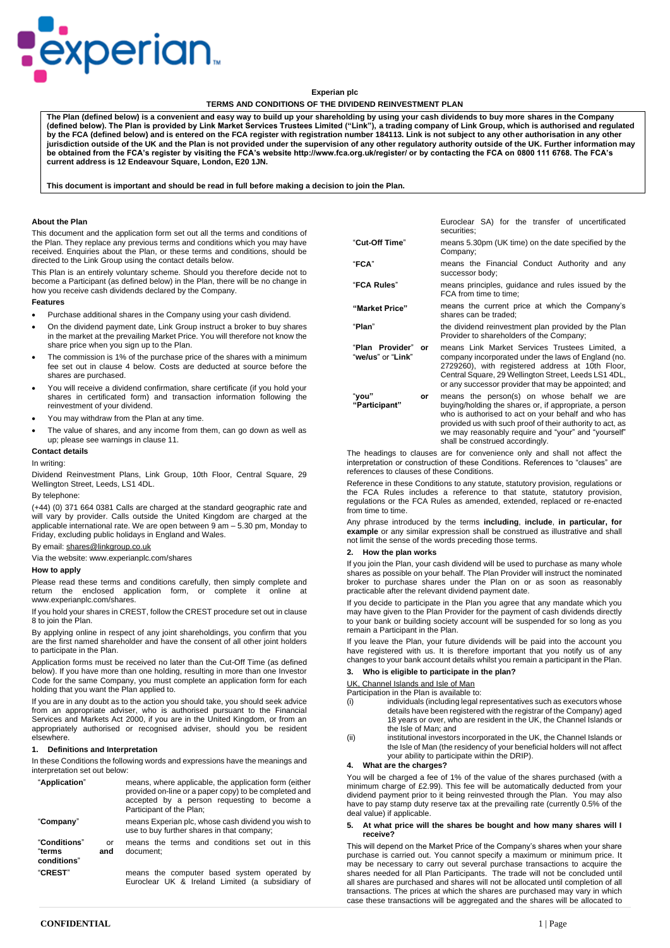

# **Experian plc**

## **TERMS AND CONDITIONS OF THE DIVIDEND REINVESTMENT PLAN**

**The Plan (defined below) is a convenient and easy way to build up your shareholding by using your cash dividends to buy more shares in the Company (defined below). The Plan is provided by Link Market Services Trustees Limited ("Link"), a trading company of Link Group, which is authorised and regulated by the FCA (defined below) and is entered on the FCA register with registration number 184113. Link is not subject to any other authorisation in any other jurisdiction outside of the UK and the Plan is not provided under the supervision of any other regulatory authority outside of the UK. Further information may be obtained from the FCA's register by visiting the FCA's website http://www.fca.org.uk/register/ or by contacting the FCA on 0800 111 6768. The FCA's current address is 12 Endeavour Square, London, E20 1JN.**

**This document is important and should be read in full before making a decision to join the Plan.**

#### **About the Plan**

This document and the application form set out all the terms and conditions of the Plan. They replace any previous terms and conditions which you may have received. Enquiries about the Plan, or these terms and conditions, should be directed to the Link Group using the contact details below.

This Plan is an entirely voluntary scheme. Should you therefore decide not to become a Participant (as defined below) in the Plan, there will be no change in how you receive cash dividends declared by the Company.

# **Features**

- Purchase additional shares in the Company using your cash dividend.
- On the dividend payment date, Link Group instruct a broker to buy shares in the market at the prevailing Market Price. You will therefore not know the share price when you sign up to the Plan.
- The commission is 1% of the purchase price of the shares with a minimum fee set out in clause 4 below. Costs are deducted at source before the shares are purchased.
- You will receive a dividend confirmation, share certificate (if you hold your shares in certificated form) and transaction information following the reinvestment of your dividend.
- You may withdraw from the Plan at any time.
- The value of shares, and any income from them, can go down as well as up; please see warnings in clause 11.

#### **Contact details**

## In writing:

Dividend Reinvestment Plans, Link Group, 10th Floor, Central Square, 29 Wellington Street, Leeds, LS1 4DL.

#### By telephone:

(+44) (0) 371 664 0381 Calls are charged at the standard geographic rate and will vary by provider. Calls outside the United Kingdom are charged at the applicable international rate. We are open between 9 am – 5.30 pm, Monday to Friday, excluding public holidays in England and Wales.

## By email: [shares@linkgroup.co.uk](mailto:shares@linkgroup.co.uk)

Via the website: www.experianplc.com/shares

#### **How to apply**

Please read these terms and conditions carefully, then simply complete and return the enclosed application form, or complete it online at www.experianplc.com/shares.

If you hold your shares in CREST, follow the CREST procedure set out in clause 8 to join the Plan.

By applying online in respect of any joint shareholdings, you confirm that you are the first named shareholder and have the consent of all other joint holders to participate in the Plan.

Application forms must be received no later than the Cut-Off Time (as defined below). If you have more than one holding, resulting in more than one Investor Code for the same Company, you must complete an application form for each holding that you want the Plan applied to.

If you are in any doubt as to the action you should take, you should seek advice from an appropriate adviser, who is authorised pursuant to the Financial Services and Markets Act 2000, if you are in the United Kingdom, or from an appropriately authorised or recognised adviser, should you be resident elsewhere.

## **1. Definitions and Interpretation**

In these Conditions the following words and expressions have the meanings and interpretation set out below:

| "Application"                         |           | means, where applicable, the application form (either<br>provided on-line or a paper copy) to be completed and<br>accepted by a person requesting to become a<br>Participant of the Plan; |
|---------------------------------------|-----------|-------------------------------------------------------------------------------------------------------------------------------------------------------------------------------------------|
| "Company"                             |           | means Experian plc, whose cash dividend you wish to<br>use to buy further shares in that company;                                                                                         |
| "Conditions"<br>"terms<br>conditions" | or<br>and | means the terms and conditions set out in this<br>document:                                                                                                                               |
| "CREST"                               |           | means the computer based system operated by<br>Euroclear UK & Ireland Limited (a subsidiary of                                                                                            |

|                                            | Euroclear SA) for the transfer of uncertificated<br>securities:                                                                                                                                                                                                                                                    |
|--------------------------------------------|--------------------------------------------------------------------------------------------------------------------------------------------------------------------------------------------------------------------------------------------------------------------------------------------------------------------|
| "Cut-Off Time"                             | means 5.30pm (UK time) on the date specified by the<br>Company:                                                                                                                                                                                                                                                    |
| "FCA"                                      | means the Financial Conduct Authority and any<br>successor body;                                                                                                                                                                                                                                                   |
| "FCA Rules"                                | means principles, quidance and rules issued by the<br>FCA from time to time:                                                                                                                                                                                                                                       |
| "Market Price"                             | means the current price at which the Company's<br>shares can be traded:                                                                                                                                                                                                                                            |
| "Plan"                                     | the dividend reinvestment plan provided by the Plan<br>Provider to shareholders of the Company;                                                                                                                                                                                                                    |
| "Plan Provider"<br>or<br>"we/us" or "Link" | means Link Market Services Trustees Limited, a<br>company incorporated under the laws of England (no.<br>2729260), with registered address at 10th Floor,<br>Central Square, 29 Wellington Street, Leeds LS1 4DL,<br>or any successor provider that may be appointed; and                                          |
| "vou"<br>or<br>"Participant"               | means the person(s) on whose behalf we are<br>buying/holding the shares or, if appropriate, a person<br>who is authorised to act on your behalf and who has<br>provided us with such proof of their authority to act, as<br>we may reasonably require and "your" and "yourself"<br>shall be construed accordingly. |

The headings to clauses are for convenience only and shall not affect the interpretation or construction of these Conditions. References to "clauses" are references to clauses of these Conditions.

Reference in these Conditions to any statute, statutory provision, regulations or the FCA Rules includes a reference to that statute, statutory provision, regulations or the FCA Rules as amended, extended, replaced or re-enacted from time to time.

Any phrase introduced by the terms **including**, **include**, **in particular, for example** or any similar expression shall be construed as illustrative and shall not limit the sense of the words preceding those terms.

#### **2. How the plan works**

If you ioin the Plan, your cash dividend will be used to purchase as many whole shares as possible on your behalf. The Plan Provider will instruct the nominated broker to purchase shares under the Plan on or as soon as reasonably practicable after the relevant dividend payment date.

If you decide to participate in the Plan you agree that any mandate which you may have given to the Plan Provider for the payment of cash dividends directly to your bank or building society account will be suspended for so long as you remain a Participant in the Plan.

If you leave the Plan, your future dividends will be paid into the account you have registered with us. It is therefore important that you notify us of any changes to your bank account details whilst you remain a participant in the Plan.

## **3. Who is eligible to participate in the plan?**

UK, Channel Islands and Isle of Man

Participation in the Plan is available to:

- (i) individuals (including legal representatives such as executors whose details have been registered with the registrar of the Company) aged 18 years or over, who are resident in the UK, the Channel Islands or the Isle of Man; and
- (ii) institutional investors incorporated in the UK, the Channel Islands or the Isle of Man (the residency of your beneficial holders will not affect your ability to participate within the DRIP).

#### **4. What are the charges?**

You will be charged a fee of 1% of the value of the shares purchased (with a minimum charge of £2.99). This fee will be automatically deducted from your dividend payment prior to it being reinvested through the Plan. You may also have to pay stamp duty reserve tax at the prevailing rate (currently 0.5% of the deal value) if applicable.

### **5. At what price will the shares be bought and how many shares will I receive?**

This will depend on the Market Price of the Company's shares when your share purchase is carried out. You cannot specify a maximum or minimum price. It may be necessary to carry out several purchase transactions to acquire the shares needed for all Plan Participants. The trade will not be concluded until all shares are purchased and shares will not be allocated until completion of all transactions. The prices at which the shares are purchased may vary in which case these transactions will be aggregated and the shares will be allocated to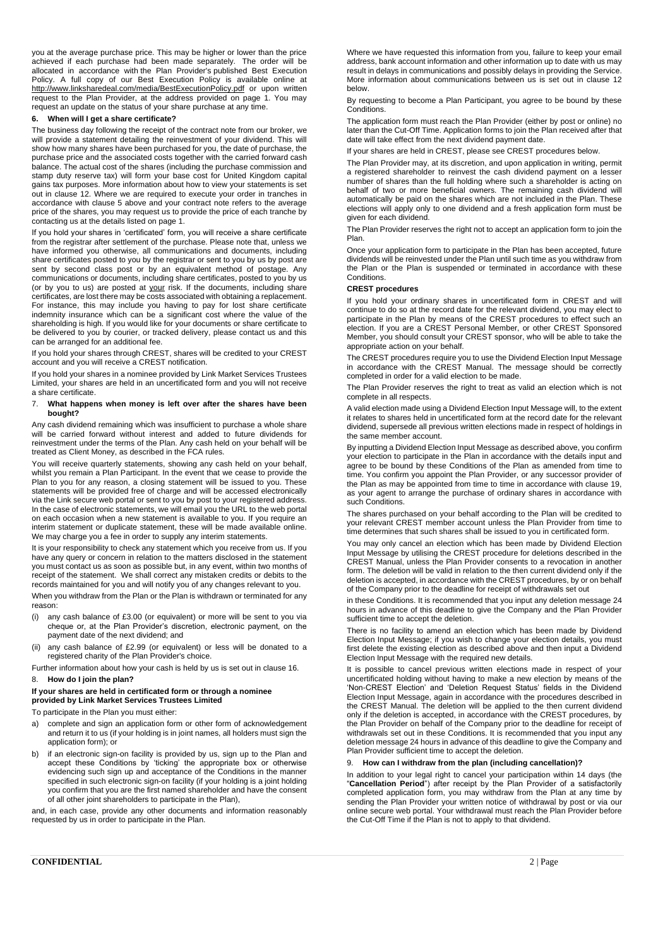you at the average purchase price. This may be higher or lower than the price achieved if each purchase had been made separately. The order will be allocated in accordance with the Plan Provider's published Best Execution Policy. A full copy of our Best Execution Policy is available online at <http://www.linksharedeal.com/media/BestExecutionPolicy.pdf> or upon written request to the Plan Provider, at the address provided on page 1. You may request an update on the status of your share purchase at any time.

### **6. When will I get a share certificate?**

The business day following the receipt of the contract note from our broker, we will provide a statement detailing the reinvestment of your dividend. This will show how many shares have been purchased for you, the date of purchase, the purchase price and the associated costs together with the carried forward cash balance. The actual cost of the shares (including the purchase commission and stamp duty reserve tax) will form your base cost for United Kingdom capital gains tax purposes. More information about how to view your statements is set out in clause 12. Where we are required to execute your order in tranches in accordance with clause 5 above and your contract note refers to the average price of the shares, you may request us to provide the price of each tranche by contacting us at the details listed on page 1.

If you hold your shares in 'certificated' form, you will receive a share certificate from the registrar after settlement of the purchase. Please note that, unless we have informed you otherwise, all communications and documents, including share certificates posted to you by the registrar or sent to you by us by post are sent by second class post or by an equivalent method of postage. Any communications or documents, including share certificates, posted to you by us (or by you to us) are posted at your risk. If the documents, including share certificates, are lost there may be costs associated with obtaining a replacement. For instance, this may include you having to pay for lost share certificate indemnity insurance which can be a significant cost where the value of the shareholding is high. If you would like for your documents or share certificate to be delivered to you by courier, or tracked delivery, please contact us and this can be arranged for an additional fee.

If you hold your shares through CREST, shares will be credited to your CREST account and you will receive a CREST notification.

If you hold your shares in a nominee provided by Link Market Services Trustees Limited, your shares are held in an uncertificated form and you will not receive a share certificate.

#### 7. **What happens when money is left over after the shares have been bought?**

Any cash dividend remaining which was insufficient to purchase a whole share will be carried forward without interest and added to future dividends for reinvestment under the terms of the Plan. Any cash held on your behalf will be treated as Client Money, as described in the FCA rules.

You will receive quarterly statements, showing any cash held on your behalf, whilst you remain a Plan Participant. In the event that we cease to provide the Plan to you for any reason, a closing statement will be issued to you. These statements will be provided free of charge and will be accessed electronically via the Link secure web portal or sent to you by post to your registered address. In the case of electronic statements, we will email you the URL to the web portal on each occasion when a new statement is available to you. If you require an interim statement or duplicate statement, these will be made available online. We may charge you a fee in order to supply any interim statements.

It is your responsibility to check any statement which you receive from us. If you have any query or concern in relation to the matters disclosed in the statement you must contact us as soon as possible but, in any event, within two months of receipt of the statement. We shall correct any mistaken credits or debits to the records maintained for you and will notify you of any changes relevant to you.

When you withdraw from the Plan or the Plan is withdrawn or terminated for any reason:

- (i) any cash balance of  $£3.00$  (or equivalent) or more will be sent to you via cheque or, at the Plan Provider's discretion, electronic payment, on the payment date of the next dividend; and
- (ii) any cash balance of £2.99 (or equivalent) or less will be donated to a registered charity of the Plan Provider's choice.

Further information about how your cash is held by us is set out in clause 16.

# 8. **How do I join the plan?**

## **If your shares are held in certificated form or through a nominee provided by Link Market Services Trustees Limited**

To participate in the Plan you must either:

- a) complete and sign an application form or other form of acknowledgement and return it to us (if your holding is in joint names, all holders must sign the application form); or
- b) if an electronic sign-on facility is provided by us, sign up to the Plan and accept these Conditions by 'ticking' the appropriate box or otherwise evidencing such sign up and acceptance of the Conditions in the manner specified in such electronic sign-on facility (if your holding is a joint holding is you confirm that you are the first named shareholder and have the consent of all other joint shareholders to participate in the Plan),

and, in each case, provide any other documents and information reasonably requested by us in order to participate in the Plan.

Where we have requested this information from you, failure to keep your email address, bank account information and other information up to date with us may result in delays in communications and possibly delays in providing the Service. More information about communications between us is set out in clause 12 below.

By requesting to become a Plan Participant, you agree to be bound by these Conditions.

The application form must reach the Plan Provider (either by post or online) no later than the Cut-Off Time. Application forms to join the Plan received after that date will take effect from the next dividend payment date.

If your shares are held in CREST, please see CREST procedures below.

The Plan Provider may, at its discretion, and upon application in writing, permit a registered shareholder to reinvest the cash dividend payment on a lesser number of shares than the full holding where such a shareholder is acting on behalf of two or more beneficial owners. The remaining cash dividend will automatically be paid on the shares which are not included in the Plan. These elections will apply only to one dividend and a fresh application form must be given for each dividend.

The Plan Provider reserves the right not to accept an application form to join the Plan.

Once your application form to participate in the Plan has been accepted, future dividends will be reinvested under the Plan until such time as you withdraw from the Plan or the Plan is suspended or terminated in accordance with these Conditions.

# **CREST procedures**

If you hold your ordinary shares in uncertificated form in CREST and will continue to do so at the record date for the relevant dividend, you may elect to participate in the Plan by means of the CREST procedures to effect such an election. If you are a CREST Personal Member, or other CREST Sponsored Member, you should consult your CREST sponsor, who will be able to take the appropriate action on your behalf.

The CREST procedures require you to use the Dividend Election Input Message in accordance with the CREST Manual. The message should be correctly completed in order for a valid election to be made.

The Plan Provider reserves the right to treat as valid an election which is not complete in all respects.

A valid election made using a Dividend Election Input Message will, to the extent it relates to shares held in uncertificated form at the record date for the relevant dividend, supersede all previous written elections made in respect of holdings in the same member account.

By inputting a Dividend Election Input Message as described above, you confirm your election to participate in the Plan in accordance with the details input and agree to be bound by these Conditions of the Plan as amended from time to time. You confirm you appoint the Plan Provider, or any successor provider of the Plan as may be appointed from time to time in accordance with clause 19, as your agent to arrange the purchase of ordinary shares in accordance with such Conditions.

The shares purchased on your behalf according to the Plan will be credited to your relevant CREST member account unless the Plan Provider from time to time determines that such shares shall be issued to you in certificated form.

You may only cancel an election which has been made by Dividend Election Input Message by utilising the CREST procedure for deletions described in the CREST Manual, unless the Plan Provider consents to a revocation in another form. The deletion will be valid in relation to the then current dividend only if the deletion is accepted, in accordance with the CREST procedures, by or on behalf of the Company prior to the deadline for receipt of withdrawals set out

in these Conditions. It is recommended that you input any deletion message 24 hours in advance of this deadline to give the Company and the Plan Provider sufficient time to accept the deletion.

There is no facility to amend an election which has been made by Dividend Election Input Message; if you wish to change your election details, you must first delete the existing election as described above and then input a Dividend Election Input Message with the required new details.

It is possible to cancel previous written elections made in respect of your uncertificated holding without having to make a new election by means of the 'Non-CREST Election' and 'Deletion Request Status' fields in the Dividend Election Input Message, again in accordance with the procedures described in the CREST Manual. The deletion will be applied to the then current dividend only if the deletion is accepted, in accordance with the CREST procedures, by the Plan Provider on behalf of the Company prior to the deadline for receipt of withdrawals set out in these Conditions. It is recommended that you input any deletion message 24 hours in advance of this deadline to give the Company and Plan Provider sufficient time to accept the deletion.

# 9. **How can I withdraw from the plan (including cancellation)?**

In addition to your legal right to cancel your participation within 14 days (the "**Cancellation Period**") after receipt by the Plan Provider of a satisfactorily completed application form, you may withdraw from the Plan at any time by sending the Plan Provider your written notice of withdrawal by post or via our online secure web portal. Your withdrawal must reach the Plan Provider before the Cut-Off Time if the Plan is not to apply to that dividend.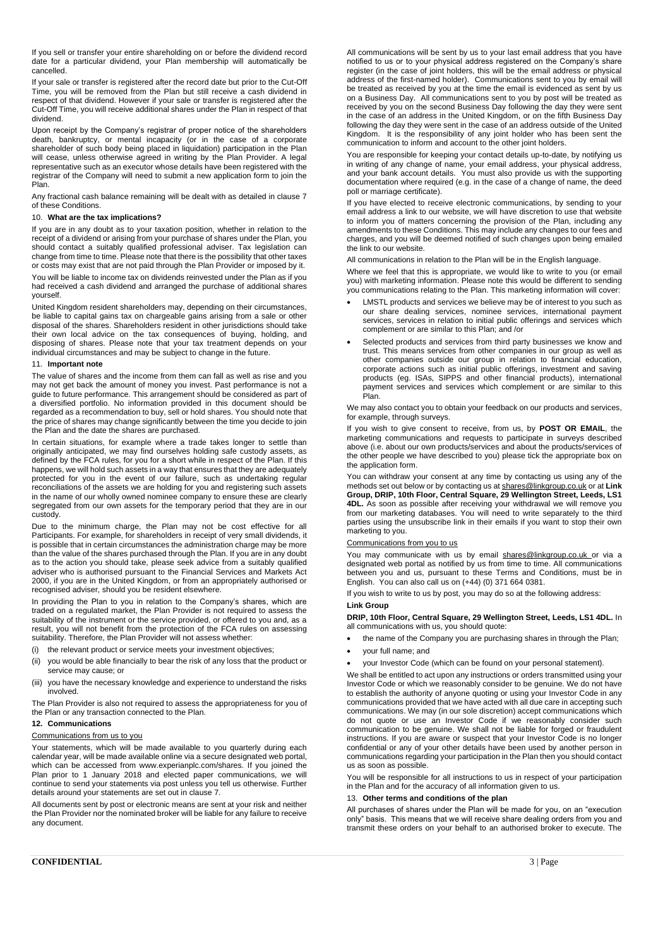If you sell or transfer your entire shareholding on or before the dividend record date for a particular dividend, your Plan membership will automatically be cancelled.

If your sale or transfer is registered after the record date but prior to the Cut-Off Time, you will be removed from the Plan but still receive a cash dividend in  $\frac{1}{2}$  of that dividend. However if your sale or transfer is registered after the Cut-Off Time, you will receive additional shares under the Plan in respect of that dividend.

Upon receipt by the Company's registrar of proper notice of the shareholders death, bankruptcy, or mental incapacity (or in the case of a corporate shareholder of such body being placed in liquidation) participation in the Plan will cease, unless otherwise agreed in writing by the Plan Provider. A legal representative such as an executor whose details have been registered with the registrar of the Company will need to submit a new application form to join the Plan.

Any fractional cash balance remaining will be dealt with as detailed in clause 7 of these Conditions.

## 10. **What are the tax implications?**

If you are in any doubt as to your taxation position, whether in relation to the receipt of a dividend or arising from your purchase of shares under the Plan, you should contact a suitably qualified professional adviser. Tax legislation can change from time to time. Please note that there is the possibility that other taxes or costs may exist that are not paid through the Plan Provider or imposed by it.

You will be liable to income tax on dividends reinvested under the Plan as if you had received a cash dividend and arranged the purchase of additional shares yourself.

United Kingdom resident shareholders may, depending on their circumstances, be liable to capital gains tax on chargeable gains arising from a sale or other disposal of the shares. Shareholders resident in other jurisdictions should take their own local advice on the tax consequences of buying, holding, and disposing of shares. Please note that your tax treatment depends on your individual circumstances and may be subject to change in the future.

#### 11. **Important note**

The value of shares and the income from them can fall as well as rise and you may not get back the amount of money you invest. Past performance is not a guide to future performance. This arrangement should be considered as part of a diversified portfolio. No information provided in this document should be regarded as a recommendation to buy, sell or hold shares. You should note that the price of shares may change significantly between the time you decide to join the Plan and the date the shares are purchased.

In certain situations, for example where a trade takes longer to settle than originally anticipated, we may find ourselves holding safe custody assets, as defined by the FCA rules, for you for a short while in respect of the Plan. If this happens, we will hold such assets in a way that ensures that they are adequately protected for you in the event of our failure, such as undertaking regular reconciliations of the assets we are holding for you and registering such assets in the name of our wholly owned nominee company to ensure these are clearly segregated from our own assets for the temporary period that they are in our custody.

Due to the minimum charge, the Plan may not be cost effective for all Participants. For example, for shareholders in receipt of very small dividends, it is possible that in certain circumstances the administration charge may be more than the value of the shares purchased through the Plan. If you are in any doubt as to the action you should take, please seek advice from a suitably qualified adviser who is authorised pursuant to the Financial Services and Markets Act 2000, if you are in the United Kingdom, or from an appropriately authorised or recognised adviser, should you be resident elsewhere.

In providing the Plan to you in relation to the Company's shares, which are traded on a regulated market, the Plan Provider is not required to assess the suitability of the instrument or the service provided, or offered to you and, as a result, you will not benefit from the protection of the FCA rules on assessing suitability. Therefore, the Plan Provider will not assess whether:

- (i) the relevant product or service meets your investment objectives;
- (ii) you would be able financially to bear the risk of any loss that the product or service may cause; or
- (iii) you have the necessary knowledge and experience to understand the risks involved.

The Plan Provider is also not required to assess the appropriateness for you of the Plan or any transaction connected to the Plan.

## **12. Communications**

#### Communications from us to you

Your statements, which will be made available to you quarterly during each calendar year, will be made available online via a secure designated web portal, which can be accessed from www.experianplc.com/shares. If you joined the Plan prior to 1 January 2018 and elected paper communications, we will continue to send your statements via post unless you tell us otherwise. Further details around your statements are set out in clause 7.

All documents sent by post or electronic means are sent at your risk and neither the Plan Provider nor the nominated broker will be liable for any failure to receive any document.

All communications will be sent by us to your last email address that you have notified to us or to your physical address registered on the Company's share register (in the case of joint holders, this will be the email address or physical address of the first-named holder). Communications sent to you by email will be treated as received by you at the time the email is evidenced as sent by us on a Business Day. All communications sent to you by post will be treated as received by you on the second Business Day following the day they were sent in the case of an address in the United Kingdom, or on the fifth Business Day following the day they were sent in the case of an address outside of the United Kingdom. It is the responsibility of any joint holder who has been sent the communication to inform and account to the other joint holders.

You are responsible for keeping your contact details up-to-date, by notifying us in writing of any change of name, your email address, your physical address, and your bank account details. You must also provide us with the supporting documentation where required (e.g. in the case of a change of name, the deed poll or marriage certificate).

If you have elected to receive electronic communications, by sending to your email address a link to our website, we will have discretion to use that website to inform you of matters concerning the provision of the Plan, including any amendments to these Conditions. This may include any changes to our fees and charges, and you will be deemed notified of such changes upon being emailed the link to our website.

All communications in relation to the Plan will be in the English language.

Where we feel that this is appropriate, we would like to write to you (or email you) with marketing information. Please note this would be different to sending you communications relating to the Plan. This marketing information will cover

- LMSTL products and services we believe may be of interest to you such as our share dealing services, nominee services, international payment services, services in relation to initial public offerings and services which complement or are similar to this Plan; and /or
- Selected products and services from third party businesses we know and trust. This means services from other companies in our group as well as other companies outside our group in relation to financial education, corporate actions such as initial public offerings, investment and saving products (eg. ISAs, SIPPS and other financial products), international payment services and services which complement or are similar to this Plan.

We may also contact you to obtain your feedback on our products and services, for example, through surveys.

If you wish to give consent to receive, from us, by **POST OR EMAIL**, the marketing communications and requests to participate in surveys described above (i.e. about our own products/services and about the products/services of the other people we have described to you) please tick the appropriate box on the application form.

You can withdraw your consent at any time by contacting us using any of the methods set out below or by contacting us a[t shares@linkgroup.co.uk](mailto:shares@linkgroup.co.uk) or at **Link Group, DRIP, 10th Floor, Central Square, 29 Wellington Street, Leeds, LS1 4DL.** As soon as possible after receiving your withdrawal we will remove you from our marketing databases. You will need to write separately to the third parties using the unsubscribe link in their emails if you want to stop their own marketing to you.

#### Communications from you to us

You may communicate with us by email [shares@linkgroup.co.uk](mailto:shares@linkgroup.co.uk) or via a designated web portal as notified by us from time to time. All communications between you and us, pursuant to these Terms and Conditions, must be in English. You can also call us on (+44) (0) 371 664 0381.

If you wish to write to us by post, you may do so at the following address:

## **Link Group**

**DRIP, 10th Floor, Central Square, 29 Wellington Street, Leeds, LS1 4DL.** In all communications with us, you should quote:

- the name of the Company you are purchasing shares in through the Plan;
- your full name; and
- your Investor Code (which can be found on your personal statement).

We shall be entitled to act upon any instructions or orders transmitted using your Investor Code or which we reasonably consider to be genuine. We do not have to establish the authority of anyone quoting or using your Investor Code in any communications provided that we have acted with all due care in accepting such communications. We may (in our sole discretion) accept communications which do not quote or use an Investor Code if we reasonably consider such communication to be genuine. We shall not be liable for forged or fraudulent instructions. If you are aware or suspect that your Investor Code is no longer confidential or any of your other details have been used by another person in communications regarding your participation in the Plan then you should contact us as soon as possible.

You will be responsible for all instructions to us in respect of your participation in the Plan and for the accuracy of all information given to us.

#### 13. **Other terms and conditions of the plan**

All purchases of shares under the Plan will be made for you, on an "execution only" basis. This means that we will receive share dealing orders from you and transmit these orders on your behalf to an authorised broker to execute. The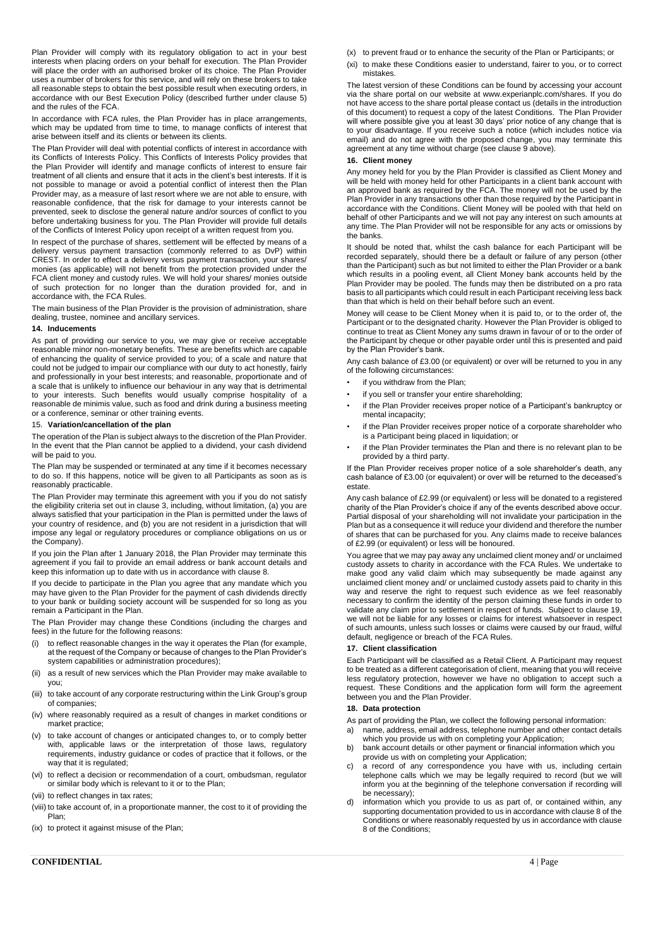Plan Provider will comply with its regulatory obligation to act in your best interests when placing orders on your behalf for execution. The Plan Provider will place the order with an authorised broker of its choice. The Plan Provider uses a number of brokers for this service, and will rely on these brokers to take all reasonable steps to obtain the best possible result when executing orders, in accordance with our Best Execution Policy (described further under clause 5) and the rules of the FCA.

In accordance with FCA rules, the Plan Provider has in place arrangements, which may be updated from time to time, to manage conflicts of interest that arise between itself and its clients or between its clients.

The Plan Provider will deal with potential conflicts of interest in accordance with its Conflicts of Interests Policy. This Conflicts of Interests Policy provides that the Plan Provider will identify and manage conflicts of interest to ensure fair treatment of all clients and ensure that it acts in the client's best interests. If it is not possible to manage or avoid a potential conflict of interest then the Plan Provider may, as a measure of last resort where we are not able to ensure, with reasonable confidence, that the risk for damage to your interests cannot be prevented, seek to disclose the general nature and/or sources of conflict to you before undertaking business for you. The Plan Provider will provide full details of the Conflicts of Interest Policy upon receipt of a written request from you.

In respect of the purchase of shares, settlement will be effected by means of a delivery versus payment transaction (commonly referred to as DvP) within CREST. In order to effect a delivery versus payment transaction, your shares/ monies (as applicable) will not benefit from the protection provided under the FCA client money and custody rules. We will hold your shares/ monies outside of such protection for no longer than the duration provided for, and in accordance with, the FCA Rules.

The main business of the Plan Provider is the provision of administration, share dealing, trustee, nominee and ancillary services.

# **14. Inducements**

As part of providing our service to you, we may give or receive acceptable reasonable minor non-monetary benefits. These are benefits which are capable of enhancing the quality of service provided to you; of a scale and nature that could not be judged to impair our compliance with our duty to act honestly, fairly and professionally in your best interests; and reasonable, proportionate and of a scale that is unlikely to influence our behaviour in any way that is detrimental to your interests. Such benefits would usually comprise hospitality of a reasonable de minimis value, such as food and drink during a business meeting or a conference, seminar or other training events.

#### 15. **Variation/cancellation of the plan**

The operation of the Plan is subject always to the discretion of the Plan Provider. In the event that the Plan cannot be applied to a dividend, your cash dividend will be paid to you.

The Plan may be suspended or terminated at any time if it becomes necessary to do so. If this happens, notice will be given to all Participants as soon as is reasonably practicable.

The Plan Provider may terminate this agreement with you if you do not satisfy the eligibility criteria set out in clause 3, including, without limitation, (a) you are always satisfied that your participation in the Plan is permitted under the laws of your country of residence, and (b) you are not resident in a jurisdiction that will impose any legal or regulatory procedures or compliance obligations on us or the Company).

If you join the Plan after 1 January 2018, the Plan Provider may terminate this agreement if you fail to provide an email address or bank account details and keep this information up to date with us in accordance with clause 8.

If you decide to participate in the Plan you agree that any mandate which you may have given to the Plan Provider for the payment of cash dividends directly to your bank or building society account will be suspended for so long as you remain a Participant in the Plan.

The Plan Provider may change these Conditions (including the charges and fees) in the future for the following reasons:

- (i) to reflect reasonable changes in the way it operates the Plan (for example, at the request of the Company or because of changes to the Plan Provider's system capabilities or administration procedures);
- (ii) as a result of new services which the Plan Provider may make available to you;
- (iii) to take account of any corporate restructuring within the Link Group's group of companies;
- (iv) where reasonably required as a result of changes in market conditions or market practice;
- (v) to take account of changes or anticipated changes to, or to comply better with, applicable laws or the interpretation of those laws, regulatory requirements, industry guidance or codes of practice that it follows, or the way that it is regulated;
- (vi) to reflect a decision or recommendation of a court, ombudsman, regulator or similar body which is relevant to it or to the Plan;
- (vii) to reflect changes in tax rates;
- (viii) to take account of, in a proportionate manner, the cost to it of providing the Plan;
- (ix) to protect it against misuse of the Plan;
- (x) to prevent fraud or to enhance the security of the Plan or Participants; or
- (xi) to make these Conditions easier to understand, fairer to you, or to correct mistakes.

The latest version of these Conditions can be found by accessing your account via the share portal on our website at www.experianplc.com/shares. If you do not have access to the share portal please contact us (details in the introduction of this document) to request a copy of the latest Conditions. The Plan Provider will where possible give you at least 30 days' prior notice of any change that is to your disadvantage. If you receive such a notice (which includes notice via email) and do not agree with the proposed change, you may terminate this agreement at any time without charge (see clause 9 above).

# **16. Client money**

Any money held for you by the Plan Provider is classified as Client Money and will be held with money held for other Participants in a client bank account with an approved bank as required by the FCA. The money will not be used by the Plan Provider in any transactions other than those required by the Participant in accordance with the Conditions. Client Money will be pooled with that held on behalf of other Participants and we will not pay any interest on such amounts at any time. The Plan Provider will not be responsible for any acts or omissions by the banks.

It should be noted that, whilst the cash balance for each Participant will be recorded separately, should there be a default or failure of any person (other than the Participant) such as but not limited to either the Plan Provider or a bank which results in a pooling event, all Client Money bank accounts held by the Plan Provider may be pooled. The funds may then be distributed on a pro rata basis to all participants which could result in each Participant receiving less back than that which is held on their behalf before such an event.

Money will cease to be Client Money when it is paid to, or to the order of, the Participant or to the designated charity. However the Plan Provider is obliged to continue to treat as Client Money any sums drawn in favour of or to the order of the Participant by cheque or other payable order until this is presented and paid by the Plan Provider's bank.

Any cash balance of £3.00 (or equivalent) or over will be returned to you in any of the following circumstances:

- if you withdraw from the Plan;
- if you sell or transfer your entire shareholding;
- if the Plan Provider receives proper notice of a Participant's bankruptcy or mental incapacity;
- if the Plan Provider receives proper notice of a corporate shareholder who is a Participant being placed in liquidation; or
- if the Plan Provider terminates the Plan and there is no relevant plan to be provided by a third party.

If the Plan Provider receives proper notice of a sole shareholder's death, any cash balance of £3.00 (or equivalent) or over will be returned to the deceased's estate

Any cash balance of £2.99 (or equivalent) or less will be donated to a registered charity of the Plan Provider's choice if any of the events described above occur. Partial disposal of your shareholding will not invalidate your participation in the Plan but as a consequence it will reduce your dividend and therefore the number of shares that can be purchased for you. Any claims made to receive balances of £2.99 (or equivalent) or less will be honoured.

You agree that we may pay away any unclaimed client money and/ or unclaimed custody assets to charity in accordance with the FCA Rules. We undertake to make good any valid claim which may subsequently be made against any unclaimed client money and/ or unclaimed custody assets paid to charity in this way and reserve the right to request such evidence as we feel reasonably necessary to confirm the identity of the person claiming these funds in order to validate any claim prior to settlement in respect of funds. Subject to clause 19, we will not be liable for any losses or claims for interest whatsoever in respect of such amounts, unless such losses or claims were caused by our fraud, wilful default, negligence or breach of the FCA Rules.

# **17. Client classification**

Each Participant will be classified as a Retail Client. A Participant may request to be treated as a different categorisation of client, meaning that you will receive less regulatory protection, however we have no obligation to accept such a request. These Conditions and the application form will form the agreement between you and the Plan Provider.

# **18. Data protection**

- As part of providing the Plan, we collect the following personal information:
- a) name, address, email address, telephone number and other contact details which you provide us with on completing your Application;
- b) bank account details or other payment or financial information which you provide us with on completing your Application;
- c) a record of any correspondence you have with us, including certain telephone calls which we may be legally required to record (but we will inform you at the beginning of the telephone conversation if recording will be necessary);
- information which you provide to us as part of, or contained within, any supporting documentation provided to us in accordance with clause 8 of the Conditions or where reasonably requested by us in accordance with clause 8 of the Conditions;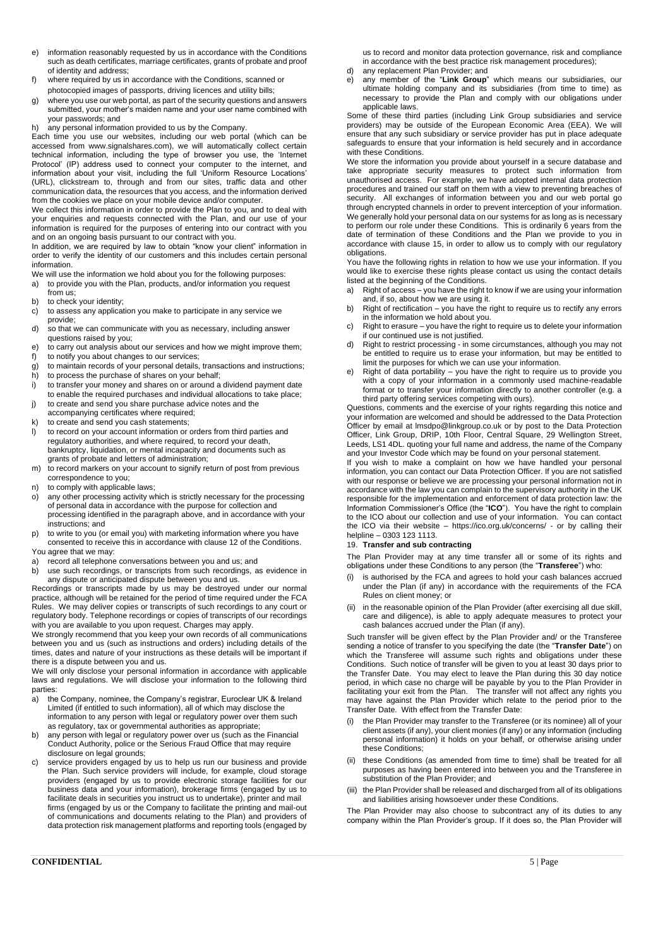- e) information reasonably requested by us in accordance with the Conditions such as death certificates, marriage certificates, grants of probate and proof of identity and address;
- f) where required by us in accordance with the Conditions, scanned or photocopied images of passports, driving licences and utility bills;
- g) where you use our web portal, as part of the security questions and answers submitted, your mother's maiden name and your user name combined with your passwords; and
- h) any personal information provided to us by the Company.

Each time you use our websites, including our web portal (which can be accessed from www.signalshares.com), we will automatically collect certain technical information, including the type of browser you use, the 'Internet Protocol' (IP) address used to connect your computer to the internet, and information about your visit, including the full 'Uniform Resource Locations' (URL), clickstream to, through and from our sites, traffic data and other communication data, the resources that you access, and the information derived from the cookies we place on your mobile device and/or computer.

We collect this information in order to provide the Plan to you, and to deal with your enquiries and requests connected with the Plan, and our use of your information is required for the purposes of entering into our contract with you and on an ongoing basis pursuant to our contract with you.

In addition, we are required by law to obtain "know your client" information in order to verify the identity of our customers and this includes certain personal information.

- We will use the information we hold about you for the following purposes: a) to provide you with the Plan, products, and/or information you request from us;
- b) to check your identity;
- c) to assess any application you make to participate in any service we provide;
- d) so that we can communicate with you as necessary, including answer questions raised by you;
- e) to carry out analysis about our services and how we might improve them;
- f) to notify you about changes to our services;
- g) to maintain records of your personal details, transactions and instructions;
- h) to process the purchase of shares on your behalf; i) to transfer your money and shares on or around a dividend payment date to enable the required purchases and individual allocations to take place;
- j) to create and send you share purchase advice notes and the
- accompanying certificates where required; k) to create and send you cash statements;
- l) to record on your account information or orders from third parties and regulatory authorities, and where required, to record your death, bankruptcy, liquidation, or mental incapacity and documents such as grants of probate and letters of administration;
- m) to record markers on your account to signify return of post from previous correspondence to you;
- n) to comply with applicable laws;
- o) any other processing activity which is strictly necessary for the processing of personal data in accordance with the purpose for collection and processing identified in the paragraph above, and in accordance with your instructions; and
- p) to write to you (or email you) with marketing information where you have consented to receive this in accordance with clause 12 of the Conditions. You agree that we may:
- 
- a) record all telephone conversations between you and us; and<br>b) use such recordings, or transcripts from such recordings, a use such recordings, or transcripts from such recordings, as evidence in any dispute or anticipated dispute between you and us.

Recordings or transcripts made by us may be destroyed under our normal practice, although will be retained for the period of time required under the FCA Rules. We may deliver copies or transcripts of such recordings to any court or regulatory body. Telephone recordings or copies of transcripts of our recordings with you are available to you upon request. Charges may apply.

We strongly recommend that you keep your own records of all communications between you and us (such as instructions and orders) including details of the times, dates and nature of your instructions as these details will be important if there is a dispute between you and us.

We will only disclose your personal information in accordance with applicable laws and regulations. We will disclose your information to the following third parties:

- a) the Company, nominee, the Company's registrar, Euroclear UK & Ireland Limited (if entitled to such information), all of which may disclose the information to any person with legal or regulatory power over them such as regulatory, tax or governmental authorities as appropriate;
- b) any person with legal or regulatory power over us (such as the Financial Conduct Authority, police or the Serious Fraud Office that may require disclosure on legal grounds;
- c) service providers engaged by us to help us run our business and provide the Plan. Such service providers will include, for example, cloud storage providers (engaged by us to provide electronic storage facilities for our business data and your information), brokerage firms (engaged by us to facilitate deals in securities you instruct us to undertake), printer and mail firms (engaged by us or the Company to facilitate the printing and mail-out of communications and documents relating to the Plan) and providers of data protection risk management platforms and reporting tools (engaged by

us to record and monitor data protection governance, risk and compliance in accordance with the best practice risk management procedures);

- d) any replacement Plan Provider; and
- e) any member of the "**Link Group**" which means our subsidiaries, our ultimate holding company and its subsidiaries (from time to time) as necessary to provide the Plan and comply with our obligations under applicable laws.

Some of these third parties (including Link Group subsidiaries and service providers) may be outside of the European Economic Area (EEA). We will ensure that any such subsidiary or service provider has put in place adequate safeguards to ensure that your information is held securely and in accordance with these Conditions.

We store the information you provide about yourself in a secure database and take appropriate security measures to protect such information from unauthorised access. For example, we have adopted internal data protection procedures and trained our staff on them with a view to preventing breaches of security. All exchanges of information between you and our web portal go through encrypted channels in order to prevent interception of your information. We generally hold your personal data on our systems for as long as is necessary to perform our role under these Conditions. This is ordinarily 6 years from the date of termination of these Conditions and the Plan we provide to you in accordance with clause 15, in order to allow us to comply with our regulatory obligations.

You have the following rights in relation to how we use your information. If you would like to exercise these rights please contact us using the contact details listed at the beginning of the Conditions.

- a) Right of access you have the right to know if we are using your information and, if so, about how we are using it.
- b) Right of rectification you have the right to require us to rectify any errors in the information we hold about you.
- c) Right to erasure you have the right to require us to delete your information if our continued use is not justified.
- d) Right to restrict processing in some circumstances, although you may not be entitled to require us to erase your information, but may be entitled to limit the purposes for which we can use your information.
- e) Right of data portability you have the right to require us to provide you with a copy of your information in a commonly used machine-readable format or to transfer your information directly to another controller (e.g. a third party offering services competing with ours).

Questions, comments and the exercise of your rights regarding this notice and your information are welcomed and should be addressed to the Data Protection Officer by email at lmsdpo@linkgroup.co.uk or by post to the Data Protection Officer, Link Group, DRIP, 10th Floor, Central Square, 29 Wellington Street, Leeds, LS1 4DL. quoting your full name and address, the name of the Company and your Investor Code which may be found on your personal statement.

If you wish to make a complaint on how we have handled your personal information, you can contact our Data Protection Officer. If you are not satisfied with our response or believe we are processing your personal information not in accordance with the law you can complain to the supervisory authority in the UK responsible for the implementation and enforcement of data protection law: the Information Commissioner's Office (the "**ICO**"). You have the right to complain to the ICO about our collection and use of your information. You can contact the ICO via their website – https://ico.org.uk/concerns/ - or by calling their helpline – 0303 123 1113.

# 19. **Transfer and sub contracting**

The Plan Provider may at any time transfer all or some of its rights and obligations under these Conditions to any person (the "**Transferee**") who:

- is authorised by the FCA and agrees to hold your cash balances accrued under the Plan (if any) in accordance with the requirements of the FCA Rules on client money; or
- (ii) in the reasonable opinion of the Plan Provider (after exercising all due skill, care and diligence), is able to apply adequate measures to protect your cash balances accrued under the Plan (if any).

Such transfer will be given effect by the Plan Provider and/ or the Transferee sending a notice of transfer to you specifying the date (the "**Transfer Date**") on which the Transferee will assume such rights and obligations under these Conditions. Such notice of transfer will be given to you at least 30 days prior to the Transfer Date. You may elect to leave the Plan during this 30 day notice period, in which case no charge will be payable by you to the Plan Provider in facilitating your exit from the Plan. The transfer will not affect any rights you may have against the Plan Provider which relate to the period prior to the Transfer Date. With effect from the Transfer Date:

- (i) the Plan Provider may transfer to the Transferee (or its nominee) all of your client assets (if any), your client monies (if any) or any information (including personal information) it holds on your behalf, or otherwise arising under these Conditions;
- (ii) these Conditions (as amended from time to time) shall be treated for all purposes as having been entered into between you and the Transferee in substitution of the Plan Provider; and
- (iii) the Plan Provider shall be released and discharged from all of its obligations and liabilities arising howsoever under these Conditions.

The Plan Provider may also choose to subcontract any of its duties to any company within the Plan Provider's group. If it does so, the Plan Provider will